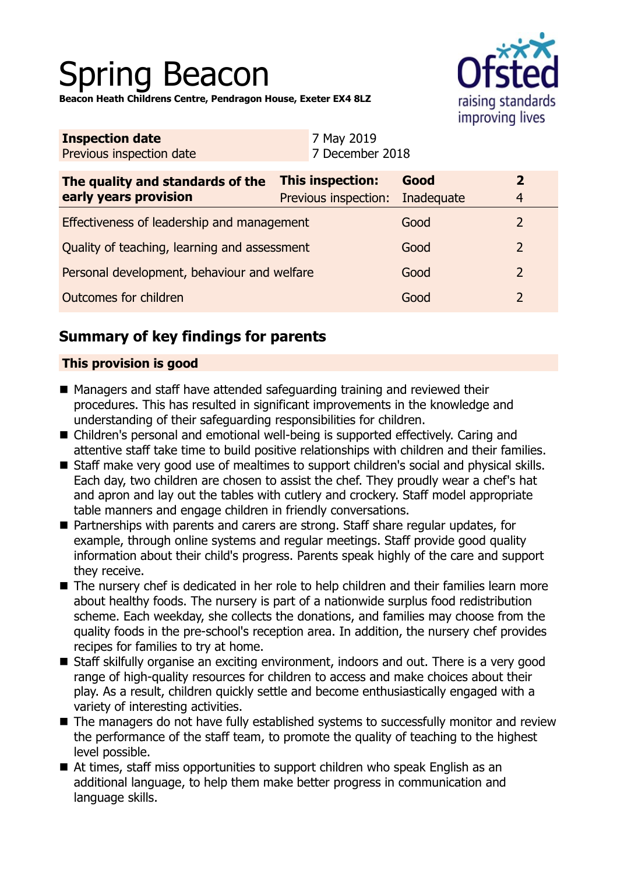# Spring Beacon

raising standards improving lives

**Beacon Heath Childrens Centre, Pendragon House, Exeter EX4 8LZ**

| This inspection:<br>Previous inspection:     | Good<br>Inadequate | 2<br>$\overline{4}$                     |
|----------------------------------------------|--------------------|-----------------------------------------|
| Effectiveness of leadership and management   |                    | $\overline{2}$                          |
| Quality of teaching, learning and assessment |                    | $\overline{2}$                          |
| Personal development, behaviour and welfare  |                    | $\overline{2}$                          |
|                                              | Good               | $\overline{2}$                          |
|                                              | 7 May 2019         | 7 December 2018<br>Good<br>Good<br>Good |

# **Summary of key findings for parents**

## **This provision is good**

- Managers and staff have attended safeguarding training and reviewed their procedures. This has resulted in significant improvements in the knowledge and understanding of their safeguarding responsibilities for children.
- Children's personal and emotional well-being is supported effectively. Caring and attentive staff take time to build positive relationships with children and their families.
- Staff make very good use of mealtimes to support children's social and physical skills. Each day, two children are chosen to assist the chef. They proudly wear a chef's hat and apron and lay out the tables with cutlery and crockery. Staff model appropriate table manners and engage children in friendly conversations.
- Partnerships with parents and carers are strong. Staff share regular updates, for example, through online systems and regular meetings. Staff provide good quality information about their child's progress. Parents speak highly of the care and support they receive.
- The nursery chef is dedicated in her role to help children and their families learn more about healthy foods. The nursery is part of a nationwide surplus food redistribution scheme. Each weekday, she collects the donations, and families may choose from the quality foods in the pre-school's reception area. In addition, the nursery chef provides recipes for families to try at home.
- Staff skilfully organise an exciting environment, indoors and out. There is a very good range of high-quality resources for children to access and make choices about their play. As a result, children quickly settle and become enthusiastically engaged with a variety of interesting activities.
- The managers do not have fully established systems to successfully monitor and review the performance of the staff team, to promote the quality of teaching to the highest level possible.
- $\blacksquare$  At times, staff miss opportunities to support children who speak English as an additional language, to help them make better progress in communication and language skills.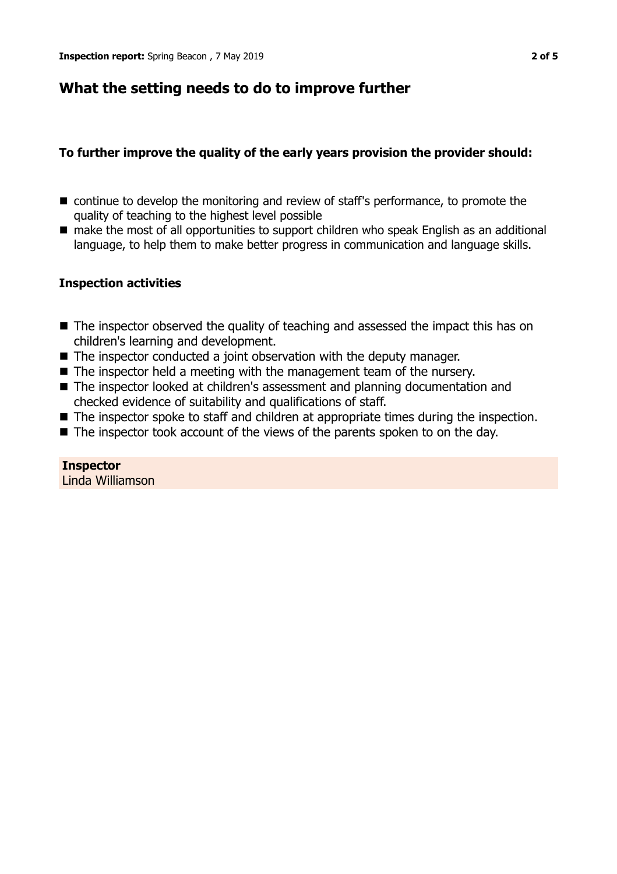# **What the setting needs to do to improve further**

## **To further improve the quality of the early years provision the provider should:**

- $\blacksquare$  continue to develop the monitoring and review of staff's performance, to promote the quality of teaching to the highest level possible
- make the most of all opportunities to support children who speak English as an additional language, to help them to make better progress in communication and language skills.

## **Inspection activities**

- $\blacksquare$  The inspector observed the quality of teaching and assessed the impact this has on children's learning and development.
- $\blacksquare$  The inspector conducted a joint observation with the deputy manager.
- $\blacksquare$  The inspector held a meeting with the management team of the nursery.
- The inspector looked at children's assessment and planning documentation and checked evidence of suitability and qualifications of staff.
- $\blacksquare$  The inspector spoke to staff and children at appropriate times during the inspection.
- $\blacksquare$  The inspector took account of the views of the parents spoken to on the day.

**Inspector** Linda Williamson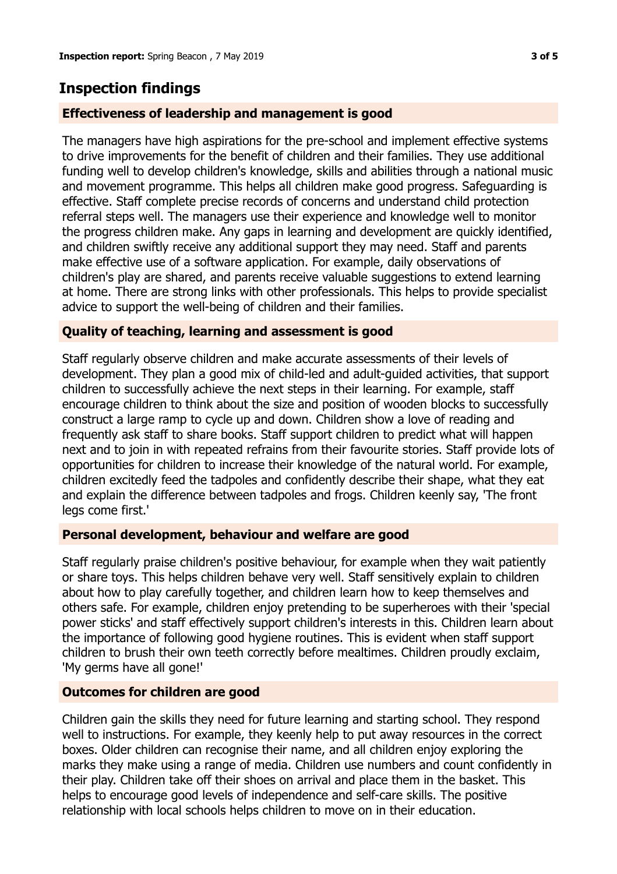## **Inspection findings**

### **Effectiveness of leadership and management is good**

The managers have high aspirations for the pre-school and implement effective systems to drive improvements for the benefit of children and their families. They use additional funding well to develop children's knowledge, skills and abilities through a national music and movement programme. This helps all children make good progress. Safeguarding is effective. Staff complete precise records of concerns and understand child protection referral steps well. The managers use their experience and knowledge well to monitor the progress children make. Any gaps in learning and development are quickly identified, and children swiftly receive any additional support they may need. Staff and parents make effective use of a software application. For example, daily observations of children's play are shared, and parents receive valuable suggestions to extend learning at home. There are strong links with other professionals. This helps to provide specialist advice to support the well-being of children and their families.

### **Quality of teaching, learning and assessment is good**

Staff regularly observe children and make accurate assessments of their levels of development. They plan a good mix of child-led and adult-guided activities, that support children to successfully achieve the next steps in their learning. For example, staff encourage children to think about the size and position of wooden blocks to successfully construct a large ramp to cycle up and down. Children show a love of reading and frequently ask staff to share books. Staff support children to predict what will happen next and to join in with repeated refrains from their favourite stories. Staff provide lots of opportunities for children to increase their knowledge of the natural world. For example, children excitedly feed the tadpoles and confidently describe their shape, what they eat and explain the difference between tadpoles and frogs. Children keenly say, 'The front legs come first.'

#### **Personal development, behaviour and welfare are good**

Staff regularly praise children's positive behaviour, for example when they wait patiently or share toys. This helps children behave very well. Staff sensitively explain to children about how to play carefully together, and children learn how to keep themselves and others safe. For example, children enjoy pretending to be superheroes with their 'special power sticks' and staff effectively support children's interests in this. Children learn about the importance of following good hygiene routines. This is evident when staff support children to brush their own teeth correctly before mealtimes. Children proudly exclaim, 'My germs have all gone!'

#### **Outcomes for children are good**

Children gain the skills they need for future learning and starting school. They respond well to instructions. For example, they keenly help to put away resources in the correct boxes. Older children can recognise their name, and all children enjoy exploring the marks they make using a range of media. Children use numbers and count confidently in their play. Children take off their shoes on arrival and place them in the basket. This helps to encourage good levels of independence and self-care skills. The positive relationship with local schools helps children to move on in their education.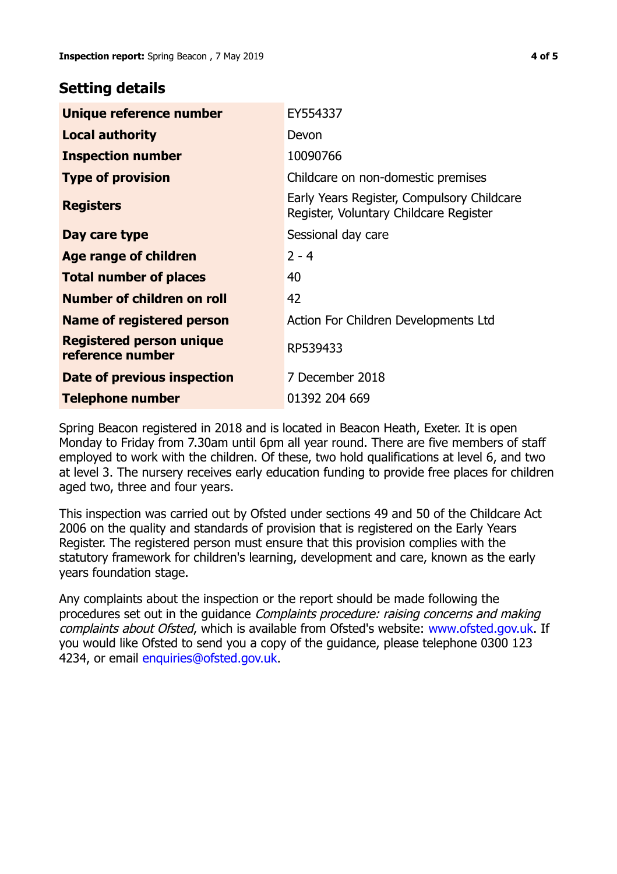## **Setting details**

| Unique reference number                             | EY554337                                                                             |
|-----------------------------------------------------|--------------------------------------------------------------------------------------|
| <b>Local authority</b>                              | Devon                                                                                |
| <b>Inspection number</b>                            | 10090766                                                                             |
| <b>Type of provision</b>                            | Childcare on non-domestic premises                                                   |
| <b>Registers</b>                                    | Early Years Register, Compulsory Childcare<br>Register, Voluntary Childcare Register |
| Day care type                                       | Sessional day care                                                                   |
| <b>Age range of children</b>                        | $2 - 4$                                                                              |
| <b>Total number of places</b>                       | 40                                                                                   |
| Number of children on roll                          | 42                                                                                   |
| Name of registered person                           | Action For Children Developments Ltd                                                 |
| <b>Registered person unique</b><br>reference number | RP539433                                                                             |
| Date of previous inspection                         | 7 December 2018                                                                      |
| <b>Telephone number</b>                             | 01392 204 669                                                                        |

Spring Beacon registered in 2018 and is located in Beacon Heath, Exeter. It is open Monday to Friday from 7.30am until 6pm all year round. There are five members of staff employed to work with the children. Of these, two hold qualifications at level 6, and two at level 3. The nursery receives early education funding to provide free places for children aged two, three and four years.

This inspection was carried out by Ofsted under sections 49 and 50 of the Childcare Act 2006 on the quality and standards of provision that is registered on the Early Years Register. The registered person must ensure that this provision complies with the statutory framework for children's learning, development and care, known as the early years foundation stage.

Any complaints about the inspection or the report should be made following the procedures set out in the guidance Complaints procedure: raising concerns and making complaints about Ofsted, which is available from Ofsted's website: www.ofsted.gov.uk. If you would like Ofsted to send you a copy of the guidance, please telephone 0300 123 4234, or email [enquiries@ofsted.gov.uk.](mailto:enquiries@ofsted.gov.uk)